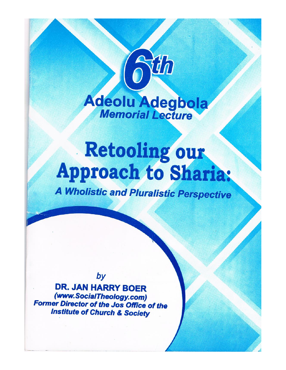

Hh

# Retooling our **Approach to Sharia:**

**A Wholistic and Pluralistic Perspective** 

by

**DR. JAN HARRY BOER** (www.SocialTheology.com) **Former Director of the Jos Office of the Institute of Church & Society**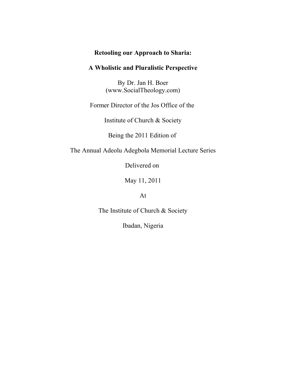## **Retooling our Approach to Sharia:**

## **A Wholistic and Pluralistic Perspective**

By Dr. Jan H. Boer (www.SocialTheology.com)

Former Director of the Jos Office of the

Institute of Church & Society

Being the 2011 Edition of

The Annual Adeolu Adegbola Memorial Lecture Series

Delivered on

May 11, 2011

At

The Institute of Church & Society

Ibadan, Nigeria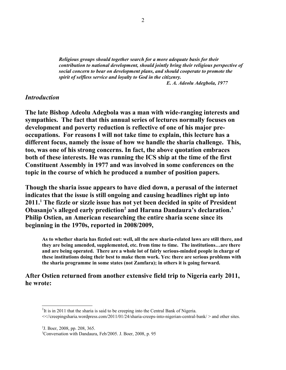*Religious groups should together search for a more adequate basis for their contribution to national development, should jointly bring their religious perspective of social concern to bear on development plans, and should cooperate to promote the spirit of selfless service and loyalty to God in the citizenry.* 

 *E. A. Adeolu Adegbola, 1977*

#### *Introduction*

**The late Bishop Adeolu Adegbola was a man with wide-ranging interests and sympathies. The fact that this annual series of lectures normally focuses on development and poverty reduction is reflective of one of his major preoccupations. For reasons I will not take time to explain, this lecture has a different focus, namely the issue of how we handle the sharia challenge. This, too, was one of his strong concerns. In fact, the above quotation embraces both of these interests. He was running the ICS ship at the time of the first Constituent Assembly in 1977 and was involved in some conferences on the topic in the course of which he produced a number of position papers.** 

**Though the sharia issue appears to have died down, a perusal of the internet indicates that the issue is still ongoing and causing headlines right up into 2011.[1](#page-2-0) The fizzle or sizzle issue has not yet been decided in spite of President Obasanjo's alleged early prediction[2](#page-2-1) and Haruna Dandaura's declaration.[3](#page-2-2) Philip Ostien, an American researching the entire sharia scene since its beginning in the 1970s, reported in 2008/2009,**

**As to whether sharia has fizzled out: well, all the new sharia-related laws are still there, and they are being amended, supplemented, etc. from time to time. The institutions…are there and are being operated. There are a whole lot of fairly serious-minded people in charge of these institutions doing their best to make them work. Yes: there are serious problems with the sharia programme in some states (not Zamfara); in others it is going forward.**

## **After Ostien returned from another extensive field trip to Nigeria early 2011, he wrote:**

<span id="page-2-0"></span><sup>&</sup>lt;sup>1</sup>It is in 2011 that the sharia is said to be creeping into the Central Bank of Nigeria.

<sup>&</sup>lt;<//creepingsharia.wordpress.com/2011/01/24/sharia-creeps-into-nigerian-central-bank/ > and other sites.

<span id="page-2-1"></span><sup>2</sup> J. Boer, 2008, pp. 208, 365.

<span id="page-2-2"></span><sup>3</sup>Conversation with Dandaura, Feb/2005. J. Boer, 2008, p. 95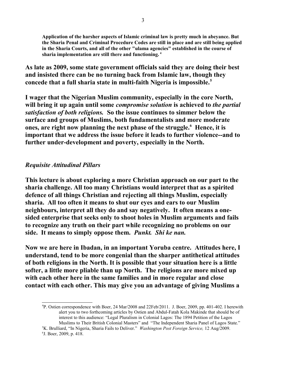**Application of the harsher aspects of Islamic criminal law is pretty much in abeyance. But the Sharia Penal and Criminal Procedure Codes are still in place and are still being applied in the Sharia Courts, and all of the other "ulama agencies" established in the course of sharia implementation are still there and functioning. [4](#page-3-0)**

**As late as 2009, some state government officials said they are doing their best and insisted there can be no turning back from Islamic law, though they concede that a full sharia state in multi-faith Nigeria is impossible.[5](#page-3-1)**

**I wager that the Nigerian Muslim community, especially in the core North, will bring it up again until some** *compromise solution* **is achieved to** *the partial satisfaction of both religions.* **So the issue continues to simmer below the surface and groups of Muslims, both fundamentalists and more moderate ones, are right now planning the next phase of the struggle.[6](#page-3-2) Hence, it is important that we address the issue before it leads to further violence--and to further under-development and poverty, especially in the North.** 

## *Requisite Attitudinal Pillars*

**This lecture is about exploring a more Christian approach on our part to the sharia challenge. All too many Christians would interpret that as a spirited defence of all things Christian and rejecting all things Muslim, especially sharia. All too often it means to shut our eyes and ears to our Muslim neighbours, interpret all they do and say negatively. It often means a onesided enterprise that seeks only to shoot holes in Muslim arguments and fails to recognize any truth on their part while recognizing no problems on our side. It means to simply oppose them.** *Punkt.**Shi ke nan.*

**Now we are here in Ibadan, in an important Yoruba centre. Attitudes here, I understand, tend to be more congenial than the sharper antithetical attitudes of both religions in the North. It is possible that your situation here is a little softer, a little more pliable than up North. The religions are more mixed up with each other here in the same families and in more regular and close contact with each other. This may give you an advantage of giving Muslims a**

<span id="page-3-0"></span><sup>4</sup>P. Ostien correspondence with Boer, 24 Mar/2008 and 22Feb/2011. J. Boer, 2009, pp. 401-402. I herewith alert you to two forthcoming articles by Ostien and Abdul-Fatah Kola Makinde that should be of interest to this audience: "Legal Pluralism in Colonial Lagos: The 1894 Petition of the Lagos Muslims to Their British Colonial Masters" and "The Independent Sharia Panel of Lagos State."

<span id="page-3-2"></span><span id="page-3-1"></span><sup>5</sup>K. Brulliard, "In Nigeria, Sharia Fails to Deliver." *Washington Post Foreign Service,* 12 Aug/2009. 6 J. Boer, 2009, p. 418.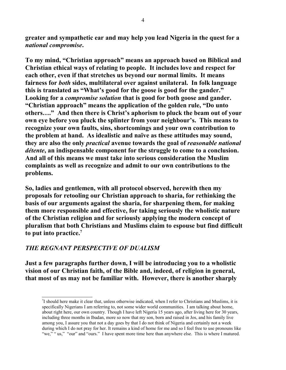**greater and sympathetic ear and may help you lead Nigeria in the quest for a** *national compromise***.** 

**To my mind, "Christian approach" means an approach based on Biblical and Christian ethical ways of relating to people. It includes love and respect for each other, even if that stretches us beyond our normal limits. It means fairness for** *both* **sides, multilateral over against unilateral. In folk language this is translated as "What's good for the goose is good for the gander." Looking for a** *compromise solution* **that is good for both goose and gander. "Christian approach" means the application of the golden rule, "Do unto others…." And then there is Christ's aphorism to pluck the beam out of your own eye before you pluck the splinter from your neighbour's. This means to recognize your own faults, sins, shortcomings and your own contribution to the problem at hand. As idealistic and naïve as these attitudes may sound, they are also the only** *practical* **avenue towards the goal of** *reasonable national détente***, an indispensable component for the struggle to come to a conclusion. And all of this means we must take into serious consideration the Muslim complaints as well as recognize and admit to our own contributions to the problems.** 

**So, ladies and gentlemen, with all protocol observed, herewith then my proposals for retooling our Christian approach to sharia, for rethinking the basis of our arguments against the sharia, for sharpening them, for making them more responsible and effective, for taking seriously the wholistic nature of the Christian religion and for seriously applying the modern concept of pluralism that both Christians and Muslims claim to espouse but find difficult to put into practice.[7](#page-4-0)**

## *THE REGNANT PERSPECTIVE OF DUALISM*

**Just a few paragraphs further down, I will be introducing you to a wholistic vision of our Christian faith, of the Bible and, indeed, of religion in general, that most of us may not be familiar with. However, there is another sharply**

<span id="page-4-0"></span><sup>7</sup> I should here make it clear that, unless otherwise indicated, when I refer to Christians and Muslims, it is specifically Nigerians I am referring to, not some wider world communities. I am talking about home, about right here, our own country. Though I have left Nigeria 15 years ago, after living here for 30 years, including three months in Ibadan, more so now that my son, born and raised in Jos, and his family live among you, I assure you that not a day goes by that I do not think of Nigeria and certainly not a week during which I do not pray for her. It remains a kind of home for me and so I feel free to use pronouns like "we," "us," "our" and "ours." I have spent more time here than anywhere else. This is where I matured.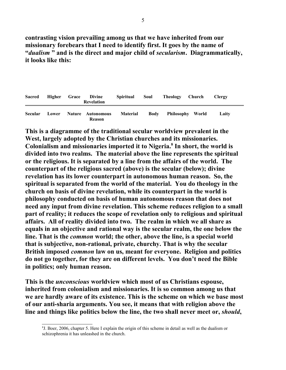**contrasting vision prevailing among us that we have inherited from our missionary forebears that I need to identify first. It goes by the name of "***dualism* **" and is the direct and major child of** *secularism***. Diagrammatically, it looks like this:**

| <b>Sacred</b>  | Higher | Grace | Divine<br>Revelation               | <b>Spiritual</b> | Soul        | Theology Church  | <b>Clergy</b> |
|----------------|--------|-------|------------------------------------|------------------|-------------|------------------|---------------|
| <b>Secular</b> | Lower  |       | Nature Autonomous<br><b>Reason</b> | <b>Material</b>  | <b>Body</b> | Philosophy World | Laitv         |

**This is a diagramme of the traditional secular worldview prevalent in the West, largely adopted by the Christian churches and its missionaries. Colonialism and missionaries imported it to Nigeria.[8](#page-5-0) In short, the world is divided into two realms. The material above the line represents the spiritual or the religious. It is separated by a line from the affairs of the world. The counterpart of the religious sacred (above) is the secular (below); divine revelation has its lower counterpart in autonomous human reason. So, the spiritual is separated from the world of the material. You do theology in the church on basis of divine revelation, while its counterpart in the world is philosophy conducted on basis of human autonomous reason that does not need any input from divine revelation. This scheme reduces religion to a small part of reality; it reduces the scope of revelation only to religious and spiritual affairs. All of reality divided into two. The realm in which we all share as equals in an objective and rational way is the secular realm, the one below the line. That is the** *common* **world; the other, above the line, is a special world that is subjective, non-rational, private, churchy. That is why the secular British imposed** *common* **law on us, meant for everyone. Religion and politics do not go together, for they are on different levels. You don't need the Bible in politics; only human reason.** 

**This is the** *unconscious* **worldview which most of us Christians espouse, inherited from colonialism and missionaries. It is so common among us that we are hardly aware of its existence. This is the scheme on which we base most of our anti-sharia arguments. You see, it means that with religion above the line and things like politics below the line, the two shall never meet or,** *should***,**

<span id="page-5-0"></span><sup>8</sup> J. Boer, 2006, chapter 5. Here I explain the origin of this scheme in detail as well as the dualism or schizophrenia it has unleashed in the church.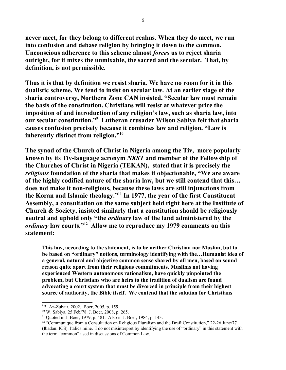**never meet, for they belong to different realms. When they do meet, we run into confusion and debase religion by bringing it down to the common. Unconscious adherence to this scheme almost** *forces* **us to reject sharia outright, for it mixes the unmixable, the sacred and the secular. That, by definition, is not permissible.** 

**Thus it is that by definition we resist sharia. We have no room for it in this dualistic scheme. We tend to insist on secular law. At an earlier stage of the sharia controversy, Northern Zone CAN insisted, "Secular law must remain the basis of the constitution. Christians will resist at whatever price the imposition of and introduction of any religion's law, such as sharia law, into our secular constitution."[9](#page-6-0) Lutheran crusader Wilson Sabiya felt that sharia causes confusion precisely because it combines law and religion. "Law is inherently distinct from religion."[10](#page-6-1)**

**The synod of the Church of Christ in Nigeria among the Tiv, more popularly known by its Tiv-language acronym** *NKST* **and member of the Fellowship of the Churches of Christ in Nigeria (TEKAN), stated that it is precisely the** *religious* **foundation of the sharia that makes it objectionable, "We are aware of the highly codified nature of the sharia law, but we still contend that this… does not make it non-religious, because these laws are still injunctions from the Koran and Islamic theology."[11](#page-6-2) In 1977, the year of the first Constituent Assembly, a consultation on the same subject held right here at the Institute of Church & Society, insisted similarly that a constitution should be religiously neutral and uphold only "the** *ordinary* **law of the land administered by the** *ordinary* **law courts."[12](#page-6-3) Allow me to reproduce my 1979 comments on this statement:**

**This law, according to the statement, is to be neither Christian nor Muslim, but to be based on "ordinary" notions, terminology identifying with the…Humanist idea of a general, natural and objective common sense shared by all men, based on sound reason quite apart from their religious commitments. Muslims not having experienced Western autonomous rationalism, have quickly pinpointed the problem, but Christians who are heirs to the tradition of dualism are found advocating a court system that must be divorced in principle from their highest source of authority, the Bible itself. We contend that the solution for Christians**

<span id="page-6-0"></span><sup>9</sup>B. Az-Zubair, 2002. Boer, 2005, p. 159.

<span id="page-6-1"></span><sup>10</sup> W. Sabiya, 25 Feb/78. J. Boer, 2008, p. 265.

<span id="page-6-2"></span><sup>11</sup> Quoted in J. Boer, 1979, p. 481. Also in J. Boer, 1984, p. 143.

<span id="page-6-3"></span> $12$  "Communique from a Consultation on Religious Pluralism and the Draft Constitution," 22-26 June/77 (Ibadan: ICS). Italics mine. I do not misinterpret by identifying the use of "ordinary" in this statement with the term "common" used in discussions of Common Law.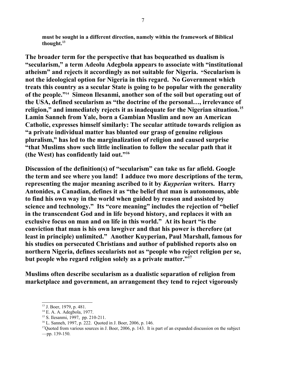**must be sought in a different direction, namely within the framework of Biblical thought.[13](#page-7-0)**

**The broader term for the perspective that has bequeathed us dualism is "secularism," a term Adeolu Adegbola appears to associate with "institutional atheism" and rejects it accordingly as not suitable for Nigeria. "Secularism is not the ideological option for Nigeria in this regard. No Government which treats this country as a secular State is going to be popular with the generality of the people."[14](#page-7-1) Simeon Ilesanmi, another son of the soil but operating out of the USA, defined secularism as "the doctrine of the personal…, irrelevance of religion," and immediately rejects it as inadequate for the Nigerian situation.[15](#page-7-2) Lamin Sanneh from Yale, born a Gambian Muslim and now an American Catholic, expresses himself similarly: The secular attitude towards religion as "a private individual matter has blunted our grasp of genuine religious pluralism," has led to the marginalization of religion and caused surprise "that Muslims show such little inclination to follow the secular path that it (the West) has confidently laid out."[16](#page-7-3)**

**Discussion of the definition(s) of "secularism" can take us far afield. Google the term and see where you land! I adduce two more descriptions of the term, representing the major meaning ascribed to it by** *Kuyperian* **writers. Harry Antonides, a Canadian, defines it as "the belief that man is autonomous, able to find his own way in the world when guided by reason and assisted by science and technology." Its "core meaning" includes the rejection of "belief in the transcendent God and in life beyond history, and replaces it with an exclusive focus on man and on life in this world." At its heart "is the conviction that man is his own lawgiver and that his power is therefore (at least in principle) unlimited." Another Kuyperian, Paul Marshall, famous for his studies on persecuted Christians and author of published reports also on northern Nigeria, defines secularists not as "people who reject religion per se, but people who regard religion solely as a private matter."[17](#page-7-4)**

**Muslims often describe secularism as a dualistic separation of religion from marketplace and government, an arrangement they tend to reject vigorously**

<span id="page-7-0"></span><sup>13</sup> J. Boer, 1979, p. 481.

<span id="page-7-1"></span><sup>14</sup> E. A. A. Adegbola, 1977.

<span id="page-7-2"></span><sup>15</sup> S. Ilesanmi, 1997, pp. 210-211.

<span id="page-7-3"></span><sup>16</sup> L. Sanneh, 1997, p. 222. Quoted in J. Boer, 2006, p. 146.

<span id="page-7-4"></span><sup>&</sup>lt;sup>17</sup>Quoted from various sources in J. Boer, 2006, p. 143. It is part of an expanded discussion on the subject —pp. 139-150.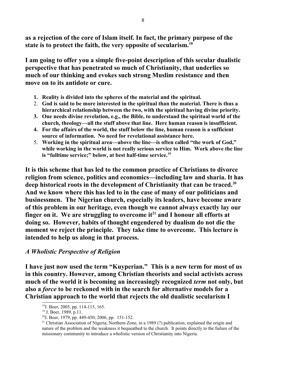**as a rejection of the core of Islam itself. In fact, the primary purpose of the state is to protect the faith, the very opposite of secularism.[18](#page-8-0)**

**I am going to offer you a simple five-point description of this secular dualistic perspective that has penetrated so much of Christianity, that underlies so much of our thinking and evokes such strong Muslim resistance and then move on to its antidote or cure.**

- **1. Reality is divided into the spheres of the material and the spiritual.**
- 2. **God is said to be more interested in the spiritual than the material. There is thus a hierarchical relationship between the two, with the spiritual having divine priority.**
- **3. One needs divine revelation, e.g., the Bible, to understand the spiritual world of the church, theology—all the stuff above that line. Here human reason is insufficient.**
- **4. For the affairs of the world, the stuff below the line, human reason is a sufficient source of information. No need for revelational assistance here.**
- 5. **Working in the spiritual area—above the line—is often called "the work of God," while working in the world is not really serious service to Him. Work above the line is "fulltime service;" below, at best half-time service.[19](#page-8-1)**

**It is this scheme that has led to the common practice of Christians to divorce religion from science, politics and economics—including law and sharia. It has deep historical roots in the development of Christianity that can be traced.[20](#page-8-2) And we know where this has led to in the case of many of our politicians and businessmen. The Nigerian church, especially its leaders, have become aware of this problem in our heritage, even though we cannot always exactly lay our finger on it. We are struggling to overcome it[21](#page-8-3) and I honour all efforts at doing so. However, habits of thought engendered by dualism do not die the moment we reject the principle. They take time to overcome. This lecture is intended to help us along in that process.** 

### *A Wholistic Perspective of Religion*

**I have just now used the term "Kuyperian." This is a new term for most of us in this country. However, among Christian theorists and social activists across much of the world it is becoming an increasingly recognized** *term* **not only, but also a** *force* **to be reckoned with in the search for alternative models for a Christian approach to the world that rejects the old dualistic secularism I**

<span id="page-8-0"></span><sup>18</sup>J. Boer, 2005, pp. 114-115, 165.

<span id="page-8-1"></span><sup>&</sup>lt;sup>19</sup> J. Boer, 1989, p.11.

<span id="page-8-2"></span> $2^{0}$ J. Boer, 1979, pp. 449-450; 2006, pp. 151-152.

<span id="page-8-3"></span><sup>&</sup>lt;sup>21</sup> Christian Association of Nigeria, Northern Zone, in a 1989 (?) publication, explained the origin and nature of the problem and the weakness it bequeathed to the church. It points directly to the failure of the missionary community to introduce a wholistic version of Christianity into Nigeria.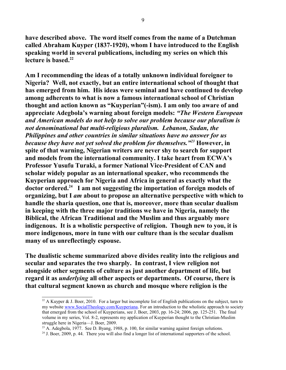**have described above. The word itself comes from the name of a Dutchman called Abraham Kuyper (1837-1920), whom I have introduced to the English speaking world in several publications, including my series on which this lecture is based.[22](#page-9-0)**

**Am I recommending the ideas of a totally unknown individual foreigner to Nigeria? Well, not exactly, but an entire international school of thought that has emerged from him. His ideas were seminal and have continued to develop among adherents to what is now a famous international school of Christian thought and action known as "Kuyperian"(-ism). I am only too aware of and appreciate Adegbola's warning about foreign models:** *"The Western European and American models do not help to solve our problem because our pluralism is not denominational but multi-religious pluralism. Lebanon, Sudan, the Philippines and other countries in similar situations have no answer for us because they have not yet solved the problem for themselves."[23](#page-9-1)* **However, in spite of that warning, Nigerian writers are never shy to search for support and models from the international community. I take heart from ECWA's Professor Yusufu Turaki, a former National Vice-President of CAN and scholar widely popular as an international speaker, who recommends the Kuyperian approach for Nigeria and Africa in general as exactly what the doctor ordered.[24](#page-9-2) I am not suggesting the importation of foreign models of organizing, but I** *am* **about to propose an alternative perspective with which to handle the sharia question, one that is, moreover, more than secular dualism in keeping with the three major traditions we have in Nigeria, namely the Biblical, the African Traditional and the Muslim and thus arguably more indigenous. It is a wholistic perspective of religion. Though new to you, it is more indigenous, more in tune with our culture than is the secular dualism many of us unreflectingly espouse.** 

**The dualistic scheme summarized above divides reality into the religious and secular and separates the two sharply. In contrast, I view religion not alongside other segments of culture as just another department of life, but regard it as** *underlying* **all other aspects or departments. Of course, there is that cultural segment known as church and mosque where religion is the**

<span id="page-9-0"></span><sup>&</sup>lt;sup>22</sup> A Kuyper & J. Boer, 2010. For a larger but incomplete list of English publications on the subject, turn to my website [www.SocialTheology.com/Kuyperiana.](http://www.SocialTheology.com/Kuyperiana) For an introduction to the wholistic approach to society that emerged from the school of Kuyperians, see J. Boer, 2003, pp. 16-24; 2006, pp. 125-251. The final volume in my series, Vol. 8-2, represents my application of Kuyperian thought to the Christian-Muslim struggle here in Nigeria—J. Boer, 2009.

<span id="page-9-1"></span><sup>&</sup>lt;sup>23</sup> A. Adegbola, 1977. See D. Byang, 1988, p. 100, for similar warning against foreign solutions.

<span id="page-9-2"></span> $24$  J. Boer, 2009, p. 44. There you will also find a longer list of international supporters of the school.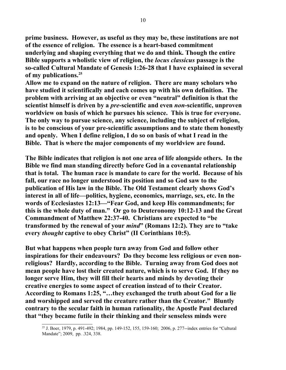**prime business. However, as useful as they may be, these institutions are not of the essence of religion. The essence is a heart-based commitment underlying and shaping everything that we do and think. Though the entire Bible supports a wholistic view of religion, the** *locus classicus* **passage is the so-called Cultural Mandate of Genesis 1:26-28 that I have explained in several of my publications.[25](#page-10-0)**

**Allow me to expand on the nature of religion. There are many scholars who have studied it scientifically and each comes up with his own definition. The problem with arriving at an objective or even "neutral" definition is that the scientist himself is driven by a** *pre***-scientific and even** *non***-scientific, unproven worldview on basis of which he pursues his science. This is true for everyone. The only way to pursue science, any science, including the subject of religion, is to be conscious of your pre-scientific assumptions and to state them honestly and openly. When I define religion, I do so on basis of what I read in the Bible. That is where the major components of my worldview are found.** 

**The Bible indicates that religion is not one area of life alongside others. In the Bible we find man standing directly before God in a covenantal relationship that is total. The human race is mandate to care for the world. Because of his fall, our race no longer understood its position and so God saw to the publication of His law in the Bible. The Old Testament clearly shows God's interest in all of life—politics, hygiene, economics, marriage, sex, etc. In the words of Ecclesiastes 12:13—"Fear God, and keep His commandments; for this is the whole duty of man." Or go to Deuteronomy 10:12-13 and the Great Commandment of Matthew 22:37-40. Christians are expected to "be transformed by the renewal of your** *mind***" (Romans 12:2). They are to "take every** *thought* **captive to obey Christ" (II Corinthians 10:5).**

**But what happens when people turn away from God and follow other inspirations for their endeavours? Do they become less religious or even nonreligious? Hardly, according to the Bible. Turning away from God does not mean people have lost their created nature, which is to serve God. If they no longer serve Him, they will fill their hearts and minds by devoting their creative energies to some aspect of creation instead of to their Creator. According to Romans 1:25, "…they exchanged the truth about God for a lie and worshipped and served the creature rather than the Creator." Bluntly contrary to the secular faith in human rationality, the Apostle Paul declared that "they became futile in their thinking and their senseless minds were**

<span id="page-10-0"></span><sup>25</sup> J. Boer, 1979, p. 491-492; 1984, pp. 149-152, 155, 159-160; 2006, p. 277--index entries for "Cultural Mandate"; 2009, pp. .324, 338.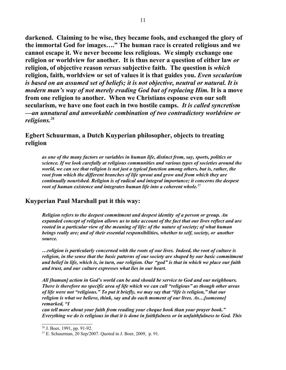**darkened. Claiming to be wise, they became fools, and exchanged the glory of the immortal God for images…." The human race is created religious and we cannot escape it. We never become less religious. We simply exchange one religion or worldview for another. It is thus never a question of either law** *or* **religion, of objective reason** *versus* **subjective faith. The question is** *which* **religion, faith, worldview or set of values it is that guides you.** *Even secularism is based on an assumed set of beliefs; it is not objective, neutral or natural. It is modern man's way of not merely evading God but of replacing Him.* **It is a move from one religion to another. When we Christians espouse even our soft secularism, we have one foot each in two hostile camps.** *It is called syncretism —an unnatural and unworkable combination of two contradictory worldview or religions.[26](#page-11-0)* 

## **Egbert Schuurman, a Dutch Kuyperian philosopher, objects to treating religion**

*as one of the many factors or variables in human life, distinct from, say, sports, politics or science. If we look carefully at religious communities and various types of societies around the world, we can see that religion is not just a typical function among others, but is, rather, the root from which the different branches of life sprout and grow and from which they are continually nourished. Religion is of radical and integral importance; it concerns the deepest root of human existence and integrates human life into a coherent whole.[27](#page-11-1)* 

## **Kuyperian Paul Marshall put it this way:**

*Religion refers to the deepest commitment and deepest identity of a person or group. An expanded concept of religion allows us to take account of the fact that our lives reflect and are rooted in a particular view of the meaning of life: of the nature of society; of what human beings really are; and of their essential responsibilities, whether to self, society, or another source.*

*…religion is particularly concerned with the roots of our lives. Indeed, the root of culture is religion, in the sense that the basic patterns of our society are shaped by our basic commitment and belief in life, which is, in turn, our religion. Our "god" is that in which we place our faith and trust, and our culture expresses what lies in our heart.*

*All [human] action in God's world can be and should be service to God and our neighbours. There is therefore no specific area of life which we can call "religious" as though other areas of life were not "religious." To put it briefly, we may say that "life is religion," that our religion is what we believe, think, say and do each moment of our lives. As…[someone] remarked, "I*

*can tell more about your faith from reading your cheque book than your prayer book." Everything we do is religious in that it is done in faithfulness or in unfaithfulness to God. This*

<span id="page-11-0"></span><sup>26</sup> J. Boer, 1991, pp. 91-92.

<span id="page-11-1"></span><sup>27</sup> E. Schuurman, 20 Sep/2007. Quoted in J. Boer, 2009, p. 91.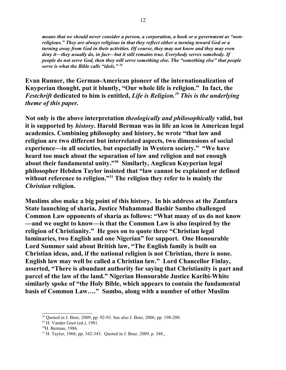*means that we should never consider a person, a corporation, a book or a government as "nonreligious." They are always religious in that they reflect either a turning toward God or a turning away from God in their activities. Of course, they may not know and they may even deny it—they usually do, in fact—but it still remains true. Everybody serves somebody. If people do not serve God, then they will serve something else. The "something else" that people serve is what the Bible calls "idols." [28](#page-12-0)*

**Evan Runner, the German-American pioneer of the internationalization of Kuyperian thought, put it bluntly, "Our whole life is religion." In fact, the** *Festchrift* **dedicated to him is entitled,** *Life is Religion.[29](#page-12-1) This is the underlying theme of this paper.* 

**Not only is the above interpretation** *theologically and philosophically* **valid, but it is supported by** *history***. Harold Berman was in life an icon in American legal academics. Combining philosophy and history, he wrote "that law and religion are two different but interrelated aspects, two dimensions of social experience—in all societies, but especially in Western society." "We have heard too much about the separation of law and religion and not enough about their fundamental unity."[30](#page-12-2) Similarly, Anglican Kuyperian legal philosopher Hebden Taylor insisted that "law cannot be explained or defined without reference to religion."[31](#page-12-3) The religion they refer to is mainly the** *Christian* **religion.**

**Muslims also make a big point of this history. In his address at the Zamfara State launching of sharia, Justice Muhammad Bashir Sambo challenged Common Law opponents of sharia as follows: "What many of us do not know —and we ought to know—is that the Common Law is also inspired by the religion of Christianity." He goes on to quote three "Christian legal luminaries, two English and one Nigerian" for support. One Honourable Lord Summer said about British law, "The English family is built on Christian ideas, and, if the national religion is not Christian, there is none. English law may well be called a Christian law." Lord Chancellor Finlay, asserted, "There is abundant authority for saying that Christianity is part and parcel of the law of the land." Nigerian Honourable Justice Karibi-White similarly spoke of "the Holy Bible, which appears to contain the fundamental basis of Common Law…." Sambo, along with a number of other Muslim**

<span id="page-12-0"></span><sup>&</sup>lt;sup>28</sup> Quoted in J. Boer, 2009, pp. 92-93. See also J. Boer, 2006, pp. 198-200.

<span id="page-12-1"></span> $29$  H. Vander Goot (ed.), 1981.

<span id="page-12-2"></span><sup>30</sup>H. Berman, 1986.

<span id="page-12-3"></span><sup>31</sup> H. Taylor, 1966, pp. 342-343. Quoted in J. Boer, 2009, p. 348.,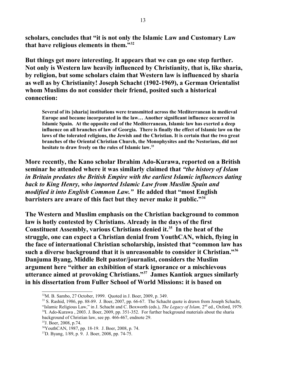**scholars, concludes that "it is not only the Islamic Law and Customary Law that have religious elements in them."[32](#page-13-0)** 

**But things get more interesting. It appears that we can go one step further. Not only is Western law heavily influenced by Christianity, that is, like sharia, by religion, but some scholars claim that Western law is influenced by sharia as well as by Christianity! Joseph Schacht (1902-1969), a German Orientalist whom Muslims do not consider their friend, posited such a historical connection:**

**Several of its [sharia] institutions were transmitted across the Mediterranean in medieval Europe and became incorporated in the law… Another significant influence occurred in Islamic Spain. At the opposite end of the Mediterranean, Islamic law has exerted a deep influence on all branches of law of Georgia. There is finally the effect of Islamic law on the laws of the tolerated religions, the Jewish and the Christian. It is certain that the two great branches of the Oriental Christian Church, the Monophysites and the Nestorians, did not hesitate to draw freely on the rules of Islamic law.[33](#page-13-1)**

**More recently, the Kano scholar Ibrahim Ado-Kurawa, reported on a British seminar he attended where it was similarly claimed that** *"the history of Islam in Britain predates the British Empire with the earliest Islamic influences dating back to King Henry, who imported Islamic Law from Muslim Spain and modified it into English Common Law."* **He added that "most English barristers are aware of this fact but they never make it public."[34](#page-13-2)**

**The Western and Muslim emphasis on the Christian background to common law is hotly contested by Christians. Already in the days of the first Constituent Assembly, various Christians denied it.[35](#page-13-3) In the heat of the struggle, one can expect a Christian denial from YouthCAN, which, flying in the face of international Christian scholarship, insisted that "common law has such a diverse background that it is unreasonable to consider it Christian."[36](#page-13-4) Danjuma Byang, Middle Belt pastor/journalist, considers the Muslim argument here "either an exhibition of stark ignorance or a mischievous utterance aimed at provoking Christians."[37](#page-13-5) James Kantiok argues similarly in his dissertation from Fuller School of World Missions: it is based on**

<span id="page-13-0"></span><sup>32</sup>M. B. Sambo, 27 October, 1999. Quoted in J. Boer, 2009, p. 349.

<span id="page-13-2"></span><span id="page-13-1"></span><sup>&</sup>lt;sup>33</sup> S. Rashid, 1986, pp. 88-89. J. Boer, 2007, pp. 66-67. The Schacht quote is drawn from Joseph Schacht, "Islamic Religious Law," in J. Schacht and C. Boxworth (eds.), *The Legacy of Islam,* 2nd ed., Oxford, 1979. <sup>34</sup>I. Ado-Kurawa, 2003. J. Boer, 2009, pp. 351-352. For further background materials about the sharia background of Christian law, see pp. 466-467, endnote 29.

<span id="page-13-3"></span><sup>35</sup>J. Boer, 2008, p.74.

<span id="page-13-4"></span><sup>36</sup>YouthCAN, 1987, pp. 18-19. J. Boer, 2008, p. 74.

<span id="page-13-5"></span><sup>37</sup>D. Byang, 1/89, p. 9. J. Boer, 2008, pp. 74-75.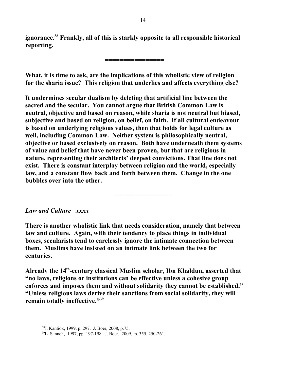**ignorance.[38](#page-14-0) Frankly, all of this is starkly opposite to all responsible historical reporting.** 

**================**

**What, it is time to ask, are the implications of this wholistic view of religion for the sharia issue? This religion that underlies and affects everything else?** 

**It undermines secular dualism by deleting that artificial line between the sacred and the secular. You cannot argue that British Common Law is neutral, objective and based on reason, while sharia is not neutral but biased, subjective and based on religion, on belief, on faith. If all cultural endeavour is based on underlying religious values, then that holds for legal culture as well, including Common Law. Neither system is philosophically neutral, objective or based exclusively on reason. Both have underneath them systems of value and belief that have never been proven, but that are religious in nature, representing their architects' deepest convictions. That line does not exist. There is constant interplay between religion and the world, especially law, and a constant flow back and forth between them. Change in the one bubbles over into the other.** 

*Law and Culture xxxx*

**There is another wholistic link that needs consideration, namely that between law and culture. Again, with their tendency to place things in individual boxes, secularists tend to carelessly ignore the intimate connection between them. Muslims have insisted on an intimate link between the two for centuries.** 

================

**Already the 14th-century classical Muslim scholar, Ibn Khaldun, asserted that "no laws, religions or institutions can be effective unless a cohesive group enforces and imposes them and without solidarity they cannot be established." "Unless religious laws derive their sanctions from social solidarity, they will remain totally ineffective."[39](#page-14-1)** 

<span id="page-14-0"></span><sup>38</sup>J. Kantiok, 1999, p. 297. J. Boer, 2008, p.75.

<span id="page-14-1"></span><sup>39</sup>L. Sanneh, 1997, pp. 197-198. J. Boer, 2009, p. 355, 250-261.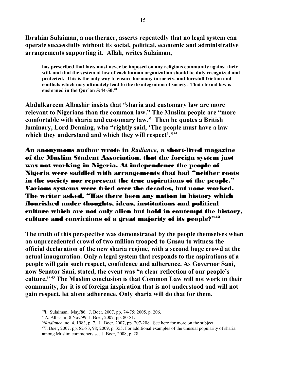**Ibrahim Sulaiman, a northerner, asserts repeatedly that no legal system can operate successfully without its social, political, economic and administrative arrangements supporting it. Allah, writes Sulaiman,** 

**has prescribed that laws must never be imposed on any religious community against their will, and that the system of law of each human organization should be duly recognized and protected. This is the only way to ensure harmony in society, and forestall friction and conflicts which may ultimately lead to the disintegration of society. That eternal law is enshrined in the Qur'an 5:44-50.[40](#page-15-0)**

**Abdulkareem Albashir insists that "sharia and customary law are more relevant to Nigerians than the common law." The Muslim people are "more comfortable with sharia and customary law." Then he quotes a British luminary, Lord Denning, who "rightly said, 'The people must have a law which they understand and which they will respect'."[41](#page-15-1)**

An anonymous author wrote in *Radiance*, a short-lived magazine of the Muslim Student Association, that the foreign system just was not working in Nigeria. At independence the people of Nigeria were saddled with arrangements that had "neither roots in the society nor represent the true aspirations of the people." Various systems were tried over the decades, but none worked. The writer asked, "Has there been any nation in history which flourished under thoughts, ideas, institutions and political culture which are not only alien but hold in contempt the history, culture and convictions of a great majority of its people?"[42](#page-15-2)

**The truth of this perspective was demonstrated by the people themselves when an unprecedented crowd of two million trooped to Gusau to witness the official declaration of the new sharia regime, with a second huge crowd at the actual inauguration. Only a legal system that responds to the aspirations of a people will gain such respect, confidence and adherence. As Governor Sani, now Senator Sani, stated, the event was "a clear reflection of our people's culture." [43](#page-15-3) The Muslim conclusion is that Common Law will not work in their community, for it is of foreign inspiration that is not understood and will not gain respect, let alone adherence. Only sharia will do that for them.** 

<span id="page-15-0"></span><sup>40</sup>I. Sulaiman, May/86. J. Boer, 2007, pp. 74-75; 2005, p. 206.

<span id="page-15-1"></span><sup>41</sup>A. Albashir, 8 Nov/99. J. Boer, 2007, pp. 80-81.

<span id="page-15-2"></span><sup>42</sup>*Radiance*, no. 4, 1983, p. 7. J. Boer, 2007, pp. 207-208. See here for more on the subject.

<span id="page-15-3"></span> $^{43}$ J. Boer, 2007, pp. 82-83, 98; 2009, p. 355. For additional examples of the unusual popularity of sharia among Muslim commoners see J. Boer, 2008, p. 28.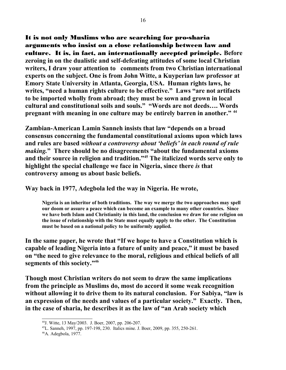It is not only Muslims who are searching for pro-sharia arguments who insist on a close relationship between law and culture. It is, in fact, an internationally accepted principle. **Before zeroing in on the dualistic and self-defeating attitudes of some local Christian writers, I draw your attention to comments from two Christian international experts on the subject. One is from John Witte, a Kuyperian law professor at Emory State University in Atlanta, Georgia, USA. Human rights laws, he writes, "need a human rights culture to be effective." Laws "are not artifacts to be imported wholly from abroad; they must be sown and grown in local cultural and constitutional soils and souls." "Words are not deeds…. Words pregnant with meaning in one culture may be entirely barren in another." [44](#page-16-0)** 

**Zambian-American Lamin Sanneh insists that law "depends on a broad consensus concerning the fundamental constitutional axioms upon which laws and rules are based** *without a controversy about 'beliefs' in each round of rule making.***" There should be no disagreements "about the fundamental axioms and their source in religion and tradition."[45](#page-16-1) The italicized words serve only to highlight the special challenge we face in Nigeria, since there** *is* **that controversy among us about basic beliefs.**

**Way back in 1977, Adegbola led the way in Nigeria. He wrote,** 

**Nigeria is an inheritor of both traditions. The way we merge the two approaches may spell our doom or assure a peace which can become an example to many other countries. Since we have both Islam and Christianity in this land, the conclusion we draw for one religion on the issue of relationship with the State must equally apply to the other. The Constitution must be based on a national policy to be uniformly applied.** 

**In the same paper, he wrote that "If we hope to have a Constitution which is capable of leading Nigeria into a future of unity and peace," it must be based on "the need to give relevance to the moral, religious and ethical beliefs of all segments of this society."[46](#page-16-2)**

**Though most Christian writers do not seem to draw the same implications from the principle as Muslims do, most do accord it some weak recognition without allowing it to drive them to its natural conclusion. For Sabiya, "law is an expression of the needs and values of a particular society." Exactly. Then, in the case of sharia, he describes it as the law of "an Arab society which**

<span id="page-16-0"></span><sup>44</sup>J. Witte, 13 May/2003. J. Boer, 2007, pp. 206-207.

<span id="page-16-1"></span><sup>45</sup>L. Sanneh, 1997, pp. 197-198, 230. Italics mine. J. Boer, 2009, pp. 355, 250-261.

<span id="page-16-2"></span><sup>46</sup>A. Adegbola, 1977.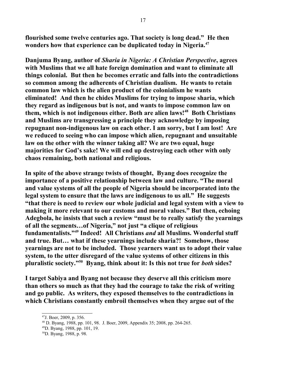**flourished some twelve centuries ago. That society is long dead." He then wonders how that experience can be duplicated today in Nigeria.[47](#page-17-0)**

**Danjuma Byang, author of** *Sharia in Nigeria: A Christian Perspective***, agrees with Muslims that we all hate foreign domination and want to eliminate all things colonial. But then he becomes erratic and falls into the contradictions so common among the adherents of Christian dualism. He wants to retain common law which is the alien product of the colonialism he wants eliminated! And then he chides Muslims for trying to impose sharia, which they regard as indigenous but is not, and wants to impose common law on them, which is not indigenous either. Both are alien laws![48](#page-17-1) Both Christians and Muslims are transgressing a principle they acknowledge by imposing repugnant non-indigenous law on each other. I am sorry, but I am lost! Are we reduced to seeing who can impose which alien, repugnant and unsuitable law on the other with the winner taking all? We are two equal, huge majorities for God's sake! We will end up destroying each other with only chaos remaining, both national and religious.**

**In spite of the above strange twists of thought, Byang does recognize the importance of a positive relationship between law and culture. "The moral and value systems of all the people of Nigeria should be incorporated into the legal system to ensure that the laws are indigenous to us all." He suggests "that there is need to review our whole judicial and legal system with a view to making it more relevant to our customs and moral values." But then, echoing Adegbola, he insists that such a review "must be to really satisfy the yearnings of all the segments…of Nigeria," not just "a clique of religious fundamentalists."[49](#page-17-2) Indeed! All Christians** *and* **all Muslims. Wonderful stuff and true. But… what if these yearnings include sharia?! Somehow, those yearnings are not to be included. Those yearners want us to adopt their value system, to the utter disregard of the value systems of other citizens in this pluralistic society."[50](#page-17-3) Byang, think about it: Is this not true for** *both* **sides?** 

**I target Sabiya and Byang not because they deserve all this criticism more than others so much as that they had the courage to take the risk of writing and go public. As writers, they exposed themselves to the contradictions in which Christians constantly embroil themselves when they argue out of the**

<span id="page-17-0"></span><sup>47</sup>J. Boer, 2009, p. 356.

<span id="page-17-1"></span><sup>48</sup> D. Byang, 1988, pp. 101, 98. J. Boer, 2009, Appendix 35; 2008, pp. 264-265.

<span id="page-17-2"></span><sup>49</sup>D. Byang, 1988, pp. 101, 19.

<span id="page-17-3"></span><sup>50</sup>D. Byang, 1988, p. 98.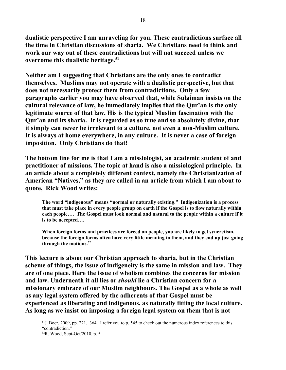**dualistic perspective I am unraveling for you. These contradictions surface all the time in Christian discussions of sharia. We Christians need to think and work our way out of these contradictions but will not succeed unless we overcome this dualistic heritage.[51](#page-18-0)** 

**Neither am I suggesting that Christians are the only ones to contradict themselves. Muslims may not operate with a dualistic perspective, but that does not necessarily protect them from contradictions. Only a few paragraphs earlier you may have observed that, while Sulaiman insists on the cultural relevance of law, he immediately implies that the Qur'an is the only legitimate source of that law. His is the typical Muslim fascination with the Qur'an and its sharia. It is regarded as so true and so absolutely divine, that it simply can never be irrelevant to a culture, not even a non-Muslim culture. It is always at home everywhere, in any culture. It is never a case of foreign imposition. Only Christians do that!** 

**The bottom line for me is that I am a missiologist, an academic student of and practitioner of missions. The topic at hand is also a missiological principle. In an article about a completely different context, namely the Christianization of American "Natives," as they are called in an article from which I am about to quote, Rick Wood writes:**

**The word "indigenous" means "normal or naturally existing." Indigenization is a process that must take place in every people group on earth if the Gospel is to flow naturally within each people…. The Gospel must look normal and natural to the people within a culture if it is to be accepted….** 

**When foreign forms and practices are forced on people, you are likely to get syncretism, because the foreign forms often have very little meaning to them, and they end up just going through the motions.[52](#page-18-1)**

**This lecture is about our Christian approach to sharia, but in the Christian scheme of things, the issue of indigeneity is the same in mission and law. They are of one piece. Here the issue of wholism combines the concerns for mission and law. Underneath it all lies or** *should* **lie a Christian concern for a missionary embrace of our Muslim neighbours. The Gospel as a whole as well as any legal system offered by the adherents of that Gospel must be experienced as liberating and indigenous, as naturally fitting the local culture. As long as we insist on imposing a foreign legal system on them that is not**

<span id="page-18-0"></span> $51$ . Boer, 2009, pp. 221, 364. I refer you to p. 545 to check out the numerous index references to this "contradiction."

<span id="page-18-1"></span><sup>52</sup>R. Wood, Sept-Oct/2010, p. 5.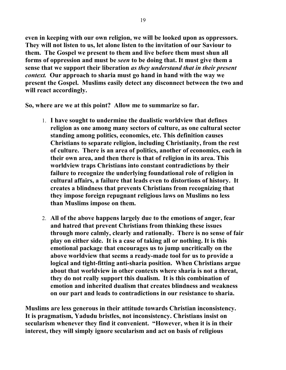**even in keeping with our own religion, we will be looked upon as oppressors. They will not listen to us, let alone listen to the invitation of our Saviour to them. The Gospel we present to them and live before them must shun all forms of oppression and must be** *seen* **to be doing that. It must give them a sense that we support their liberation** *as they understand that in their present context.* **Our approach to sharia must go hand in hand with the way we present the Gospel. Muslims easily detect any disconnect between the two and will react accordingly.** 

**So, where are we at this point? Allow me to summarize so far.** 

- 1. **I have sought to undermine the dualistic worldview that defines religion as one among many sectors of culture, as one cultural sector standing among politics, economics, etc. This definition causes Christians to separate religion, including Christianity, from the rest of culture. There is an area of politics, another of economics, each in their own area, and then there is that of religion in its area. This worldview traps Christians into constant contradictions by their failure to recognize the underlying foundational role of religion in cultural affairs, a failure that leads even to distortions of history. It creates a blindness that prevents Christians from recognizing that they impose foreign repugnant religious laws on Muslims no less than Muslims impose on them.**
- 2. **All of the above happens largely due to the emotions of anger, fear and hatred that prevent Christians from thinking these issues through more calmly, clearly and rationally. There is no sense of fair play on either side. It is a case of taking all or nothing. It is this emotional package that encourages us to jump uncritically on the above worldview that seems a ready-made tool for us to provide a logical and tight-fitting anti-sharia position. When Christians argue about that worldview in other contexts where sharia is not a threat, they do not really support this dualism. It is this combination of emotion and inherited dualism that creates blindness and weakness on our part and leads to contradictions in our resistance to sharia.**

**Muslims are less generous in their attitude towards Christian inconsistency. It is pragmatism, Yadudu bristles, not inconsistency. Christians insist on secularism whenever they find it convenient. "However, when it is in their interest, they will simply ignore secularism and act on basis of religious**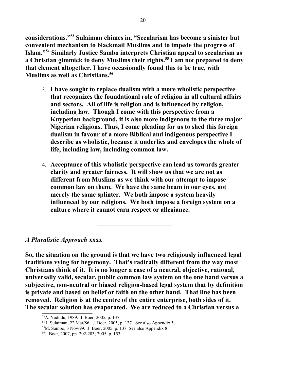**considerations."[53](#page-20-0) Sulaiman chimes in, "Secularism has become a sinister but convenient mechanism to blackmail Muslims and to impede the progress of Islam."[54](#page-20-1) Similarly Justice Sambo interprets Christian appeal to secularism as a Christian gimmick to deny Muslims their rights.[55](#page-20-2) I am not prepared to deny that element altogether. I have occasionally found this to be true, with Muslims as well as Christians.[56](#page-20-3)**

- 3. **I have sought to replace dualism with a more wholistic perspective that recognizes the foundational role of religion in all cultural affairs and sectors. All of life is religion and is influenced by religion, including law. Though I come with this perspective from a Kuyperian background, it is also more indigenous to the three major Nigerian religions. Thus, I come pleading for us to shed this foreign dualism in favour of a more Biblical and indigenous perspective I describe as wholistic, because it underlies and envelopes the whole of life, including law, including common law.**
- 4. **Acceptance of this wholistic perspective can lead us towards greater clarity and greater fairness. It will show us that we are not as different from Muslims as we think with our attempt to impose common law on them. We have the same beam in our eyes, not merely the same splinter. We both impose a system heavily influenced by our religions. We both impose a foreign system on a culture where it cannot earn respect or allegiance.**

## *A Pluralistic Approach* **xxxx**

**So, the situation on the ground is that we have two religiously influenced legal traditions vying for hegemony. That's radically different from the way most Christians think of it. It is no longer a case of a neutral, objective, rational, universally valid, secular, public common law system on the one hand versus a subjective, non-neutral or biased religion-based legal system that by definition is private and based on belief or faith on the other hand. That line has been removed. Religion is at the centre of the entire enterprise, both sides of it. The secular solution has evaporated. We are reduced to a Christian versus a**

**====================**

<span id="page-20-0"></span><sup>53</sup>A. Yadudu, 1989. J. Boer, 2005, p. 137.

<span id="page-20-1"></span><sup>54</sup> I. Sulaiman, 22 Mar/86. J. Boer, 2005, p. 137. See also Appendix 5.

<span id="page-20-2"></span><sup>55</sup>M. Sambo, 3 Nov/99. J. Boer, 2005, p. 137. See also Appendix 8.

<span id="page-20-3"></span><sup>56</sup>J. Boer, 2007, pp. 202-203; 2005, p. 153.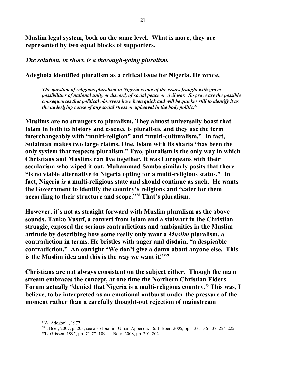**Muslim legal system, both on the same level. What is more, they are represented by two equal blocks of supporters.** 

*The solution, in short, is a thorough-going pluralism.* 

**Adegbola identified pluralism as a critical issue for Nigeria. He wrote,** 

*The question of religious pluralism in Nigeria is one of the issues fraught with grave possibilities of national unity or discord, of social peace or civil war. So grave are the possible consequences that political observers have been quick and will be quicker still to identify it as the underlying cause of any social stress or upheaval in the body politic.[57](#page-21-0)* 

**Muslims are no strangers to pluralism. They almost universally boast that Islam in both its history and essence is pluralistic and they use the term interchangeably with "multi-religion" and "multi-culturalism." In fact, Sulaiman makes two large claims. One, Islam with its sharia "has been the only system that respects pluralism." Two, pluralism is the only way in which Christians and Muslims can live together. It was Europeans with their secularism who wiped it out. Muhammad Sambo similarly posits that there "is no viable alternative to Nigeria opting for a multi-religious status." In fact, Nigeria** *is* **a multi-religious state and should continue as such. He wants the Government to identify the country's religions and "cater for them according to their structure and scope."[58](#page-21-1) That's pluralism.** 

**However, it's not as straight forward with Muslim pluralism as the above sounds. Tanko Yusuf, a convert from Islam and a stalwart in the Christian struggle, exposed the serious contradictions and ambiguities in the Muslim attitude by describing how some really only want a** *Muslim* **pluralism, a contradiction in terms. He bristles with anger and disdain, "a despicable contradiction." An outright "We don't give a damn about anyone else. This is the Muslim idea and this is the way we want it!"[59](#page-21-2)** 

**Christians are not always consistent on the subject either. Though the main stream embraces the concept, at one time the Northern Christian Elders Forum actually "denied that Nigeria is a multi-religious country." This was, I believe, to be interpreted as an emotional outburst under the pressure of the moment rather than a carefully thought-out rejection of mainstream**

<span id="page-21-0"></span><sup>57</sup>A. Adegbola, 1977.

<span id="page-21-1"></span><sup>58</sup>J. Boer, 2007, p. 203; see also Ibrahim Umar, Appendix 56. J. Boer, 2005, pp. 133, 136-137, 224-225;

<span id="page-21-2"></span><sup>59</sup>L. Grissen, 1995, pp. 75-77, 109. J. Boer, 2008, pp. 201-202.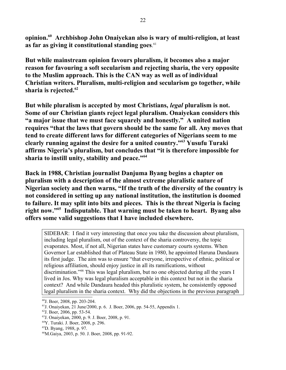**opinion.[60](#page-22-0) Archbishop John Onaiyekan also is wary of multi-religion, at least as far as giving it constitutional standing goes**. [61](#page-22-1)

**But while mainstream opinion favours pluralism, it becomes also a major reason for favouring a soft secularism and rejecting sharia, the very opposite to the Muslim approach. This is the CAN way as well as of individual Christian writers. Pluralism, multi-religion and secularism go together, while sharia is rejected.[62](#page-22-2)**

**But while pluralism is accepted by most Christians,** *legal* **pluralism is not. Some of our Christian giants reject legal pluralism. Onaiyekan considers this "a major issue that we must face squarely and honestly." A united nation requires "that the laws that govern should be the same for all. Any moves that tend to create different laws for different categories of Nigerians seem to me clearly running against the desire for a united country."[63](#page-22-3) Yusufu Turaki affirms Nigeria's pluralism, but concludes that "it is therefore impossible for sharia to instill unity, stability and peace."[64](#page-22-4)**

**Back in 1988, Christian journalist Danjuma Byang begins a chapter on pluralism with a description of the almost extreme pluralistic nature of Nigerian society and then warns, "If the truth of the diversity of the country is not considered in setting up any national institution, the institution is doomed to failure. It may split into bits and pieces. This is the threat Nigeria is facing right now."[65](#page-22-5) Indisputable. That warning must be taken to heart. Byang also offers some valid suggestions that I have included elsewhere.**

SIDEBAR: I find it very interesting that once you take the discussion about pluralism, including legal pluralism, out of the context of the sharia controversy, the topic evaporates. Most, if not all, Nigerian states have customary courts systems. When Governor Lar established that of Plateau State in 1980, he appointed Haruna Dandaura its first judge. The aim was to ensure "that everyone, irrespective of ethnic, political or religious affiliation, should enjoy justice in all its ramifications, without discrimination."[66](#page-22-6) This was legal pluralism, but no one objected during all the years I lived in Jos. Why was legal pluralism acceptable in this context but not in the sharia context? And while Dandaura headed this pluralistic system, he consistently opposed legal pluralism in the sharia context. Why did the objections in the previous paragraph

<span id="page-22-0"></span><sup>60</sup>J. Boer, 2008, pp. 203-204.

<span id="page-22-1"></span><sup>61</sup>J. Onaiyekan, 21 June/2000, p. 6. J. Boer, 2006, pp. 54-55, Appendix 1.

<span id="page-22-2"></span> $62$ J. Boer, 2006, pp. 53-54.

<span id="page-22-3"></span><sup>63</sup>J. Onaiyekan, 2000, p. 9. J. Boer, 2008, p. 91.

<span id="page-22-4"></span><sup>64</sup>Y. Turaki. J. Boer, 2008, p. 296.

<span id="page-22-5"></span><sup>65</sup>D. Byang, 1988, p. 97.

<span id="page-22-6"></span><sup>66</sup>M.Gaiya, 2003, p. 50. J. Boer, 2008, pp. 91-92.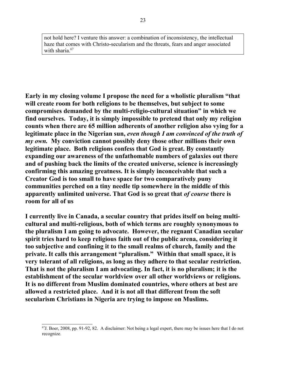not hold here? I venture this answer: a combination of inconsistency, the intellectual haze that comes with Christo-secularism and the threats, fears and anger associated with sharia.<sup>[67](#page-23-0)</sup>

**Early in my closing volume I propose the need for a wholistic pluralism "that will create room for both religions to be themselves, but subject to some compromises demanded by the multi-religio-cultural situation" in which we find ourselves. Today, it is simply impossible to pretend that only my religion counts when there are 65 million adherents of another religion also vying for a legitimate place in the Nigerian sun,** *even though I am convinced of the truth of my own.* **My conviction cannot possibly deny those other millions their own legitimate place. Both religions confess that God is great. By constantly expanding our awareness of the unfathomable numbers of galaxies out there and of pushing back the limits of the created universe, science is increasingly confirming this amazing greatness. It is simply inconceivable that such a Creator God is too small to have space for two comparatively puny communities perched on a tiny needle tip somewhere in the middle of this apparently unlimited universe. That God is so great that** *of course* **there is room for all of us**

**I currently live in Canada, a secular country that prides itself on being multicultural and multi-religious, both of which terms are roughly synonymous to the pluralism I am going to advocate. However, the regnant Canadian secular spirit tries hard to keep religious faith out of the public arena, considering it too subjective and confining it to the small realms of church, family and the private. It calls this arrangement "pluralism." Within that small space, it is very tolerant of all religions, as long as they adhere to that secular restriction. That is not the pluralism I am advocating. In fact, it is no pluralism; it is the establishment of the secular worldview over all other worldviews or religions. It is no different from Muslim dominated countries, where others at best are allowed a restricted place. And it is not all that different from the soft secularism Christians in Nigeria are trying to impose on Muslims.** 

<span id="page-23-0"></span><sup>67</sup>J. Boer, 2008, pp. 91-92, 82. A disclaimer: Not being a legal expert, there may be issues here that I do not recognize.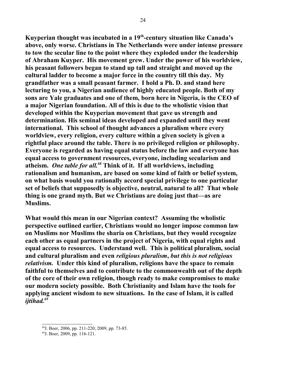**Kuyperian thought was incubated in a 19th-century situation like Canada's above, only worse. Christians in The Netherlands were under intense pressure to tow the secular line to the point where they exploded under the leadership of Abraham Kuyper. His movement grew. Under the power of his worldview, his peasant followers began to stand up tall and straight and moved up the cultural ladder to become a major force in the country till this day. My grandfather was a small peasant farmer. I hold a Ph. D. and stand here lecturing to you, a Nigerian audience of highly educated people. Both of my sons are Yale graduates and one of them, born here in Nigeria, is the CEO of a major Nigerian foundation. All of this is due to the wholistic vision that developed within the Kuyperian movement that gave us strength and determination. His seminal ideas developed and expanded until they went international. This school of thought advances a pluralism where every worldview, every religion, every culture within a given society is given a rightful place around the table. There is no privileged religion or philosophy. Everyone is regarded as having equal status before the law and everyone has equal access to government resources, everyone, including secularism and atheism.** *One table for all.[68](#page-24-0)* **Think of it. If all worldviews, including rationalism and humanism, are based on some kind of faith or belief system, on what basis would you rationally accord special privilege to one particular set of beliefs that supposedly is objective, neutral, natural to all? That whole thing is one grand myth. But we Christians are doing just that—as are Muslims.**

**What would this mean in our Nigerian context? Assuming the wholistic perspective outlined earlier, Christians would no longer impose common law on Muslims nor Muslims the sharia on Christians, but they would recognize each other as equal partners in the project of Nigeria, with equal rights and equal access to resources. Understand well. This is political pluralism, social and cultural pluralism and even** *religious pluralism***,** *but this is not religious relativism.* **Under this kind of pluralism, religions have the space to remain faithful to themselves and to contribute to the commonwealth out of the depth of the core of their own religion, though ready to make compromises to make our modern society possible. Both Christianity and Islam have the tools for applying ancient wisdom to new situations. In the case of Islam, it is called** *ijtihad.[69](#page-24-1)* 

<span id="page-24-0"></span><sup>68</sup>J. Boer, 2006, pp. 211-220; 2009, pp. 73-85.

<span id="page-24-1"></span><sup>69</sup>J. Boer, 2009, pp. 116-121.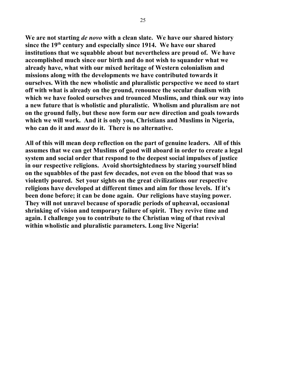**We are not starting** *de novo* **with a clean slate. We have our shared history since the 19th century and especially since 1914. We have our shared institutions that we squabble about but nevertheless are proud of. We have accomplished much since our birth and do not wish to squander what we already have, what with our mixed heritage of Western colonialism and missions along with the developments we have contributed towards it ourselves. With the new wholistic and pluralistic perspective we need to start off with what is already on the ground, renounce the secular dualism with which we have fooled ourselves and trounced Muslims, and think our way into a new future that is wholistic and pluralistic. Wholism and pluralism are not on the ground fully, but these now form our new direction and goals towards which we will work. And it is only you, Christians and Muslims in Nigeria, who can do it and** *must* **do it. There is no alternative.**

**All of this will mean deep reflection on the part of genuine leaders. All of this assumes that we can get Muslims of good will aboard in order to create a legal system and social order that respond to the deepest social impulses of justice in our respective religions. Avoid shortsightedness by staring yourself blind on the squabbles of the past few decades, not even on the blood that was so violently poured. Set your sights on the great civilizations our respective religions have developed at different times and aim for those levels. If it's been done before; it can be done again. Our religions have staying power. They will not unravel because of sporadic periods of upheaval, occasional shrinking of vision and temporary failure of spirit. They revive time and again. I challenge you to contribute to the Christian wing of that revival within wholistic and pluralistic parameters. Long live Nigeria!**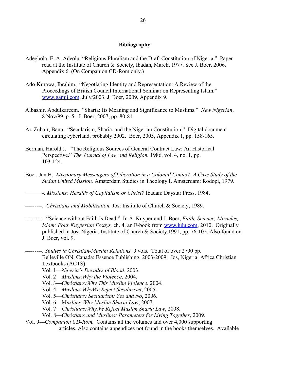#### **Bibliography**

- Adegbola, E. A. Adeolu. "Religious Pluralism and the Draft Constitution of Nigeria." Paper read at the Institute of Church & Society, Ibadan, March, 1977. See J. Boer, 2006, Appendix 6. (On Companion CD-Rom only.)
- Ado-Kurawa, Ibrahim. "Negotiating Identity and Representation: A Review of the Proceedings of British Council International Seminar on Representing Islam." [www.gamji.com,](http://www.gamji.com/) July/2003. J. Boer, 2009, Appendix 9.
- Albashir, Abdulkareem. "Sharia: Its Meaning and Significance to Muslims." *New Nigerian*, 8 Nov/99, p. 5. J. Boer, 2007, pp. 80-81.
- Az-Zubair, Banu. "Secularism, Sharia, and the Nigerian Constitution." Digital document circulating cyberland, probably 2002. Boer, 2005, Appendix 1, pp. 158-165.
- Berman, Harold J. "The Religious Sources of General Contract Law: An Historical Perspective." *The Journal of Law and Religion.* 1986, vol. 4, no. 1, pp. 103-124.
- Boer, Jan H. *Missionary Messengers of Liberation in a Colonial Context: A Case Study of the Sudan United Mission.* Amsterdam Studies in Theology I. Amsterdam: Rodopi, 1979.
- ———-. *Missions: Heralds of Capitalism or Christ?* Ibadan: Daystar Press, 1984.
- ---------. *Christians and Mobilization.* Jos: Institute of Church & Society, 1989.
- ---------. "Science without Faith Is Dead." In A. Kuyper and J. Boer, *Faith, Science, Miracles, Islam: Four Kuyperian Essays,* ch. 4, an E-book from [www.lulu.com,](http://www.lulu.com/) 2010. Originally published in Jos, Nigeria: Institute of Church & Society,1991, pp. 76-102. Also found on J. Boer, vol. 9.
- ---------. *Studies in Christian-Muslim Relations.* 9 vols. Total of over 2700 pp. Belleville ON, Canada: Essence Publishing, 2003-2009. Jos, Nigeria: Africa Christian Textbooks (ACTS).
	- Vol. 1—*Nigeria's Decades of Blood*, 2003.
	- Vol. 2—*Muslims:Why the Violence*, 2004.
	- Vol. 3—*Christians:Why This Muslim Violence*, 2004.
	- Vol. 4—*Muslims:WhyWe Reject Secularism*, 2005.
	- Vol. 5—*Christians: Secularism: Yes and No*, 2006.
	- Vol. 6—M*uslims:Why Muslim Sharia Law*, 2007.
	- Vol. 7—*Christians:WhyWe Reject Muslim Sharia Law*, 2008.
	- Vol. 8—*Christians and Muslims: Parameters for Living Together*, 2009.

Vol. 9---*Companion CD-Rom.* Contains all the volumes and over 4,000 supporting articles. Also contains appendices not found in the books themselves. Available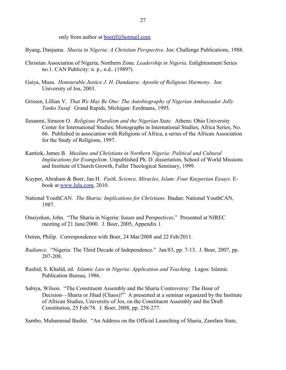only from author at boer if @hotmail.com.

Byang, Danjuma. *Sharia in Nigeria: A Christian Perspective.* Jos: Challenge Publications, 1988.

- Christian Association of Nigeria, Northern Zone. *Leadership in Nigeria*. Enlightenment Series no.1. CAN Publicity: n. p., n.d.. (1989?).
- Gaiya, Musa. *Honourable Justice J. H. Dandaura: Apostle of Religious Harmony.* Jos: University of Jos, 2003.
- Grissen, Lillian V. *That We May Be One: The Autobiography of Nigerian Ambassador Jolly Tanko Yusuf.* Grand Rapids, Michigan: Eerdmans, 1995.
- Ilesanmi, Simeon O. *Religious Pluralism and the Nigerian State.* Athens: Ohio University Center for International Studies; Monographs in International Studies; Africa Series, No. 66. Published in association with Religions of Africa, a series of the African Association for the Study of Religions, 1997.
- Kantiok, James B. *Muslims and Christians in Northern Nigeria: Political and Cultural Implacations for Evangelism.* Unpublished Ph. D. dissertation, School of World Missions and Institute of Church Growth, Fuller Theological Seminary, 1999.
- Kuyper, Abraham & Boer, Jan H. *Faith, Science, Miracles, Islam: Four Kuyperian Essays.* Ebook at [www.lulu.com,](http://www.lulu.com/) 2010.
- National YouthCAN. *The Sharia: Implications for Christians.* Ibadan: National YouthCAN, 1987.
- Onaiyekan, John. "The Sharia in Nigeria: Issues and Perspectives." Presented at NIREC meeting of 21 June/2000. J. Boer, 2005, Appendix 1.
- Ostien, Philip. Correspondence with Boer, 24 Mar/2008 and 22 Feb/2011.
- *Radiance.* "Nigeria: The Third Decade of Independence." Jan/83, pp. 7-13. J. Boer, 2007, pp. 207-208.
- Rashid, S. Khalid, ed. *Islamic Law in Nigeria: Application and Teaching.* Lagos: Islamic Publication Bureau, 1986.
- Sabiya, Wilson. "The Constituent Assembly and the Sharia Controversy: The Hour of Decision—Sharia or Jihad (Chaos)?" A presented at a seminar organized by the Institute of African Studies, University of Jos, on the Constituent Assembly and the Draft Constitution, 25 Feb/78. J. Boer, 2008, pp. 258-277.

Sambo, Muhammad Bashir. "An Address on the Official Launching of Sharia, Zamfara State,